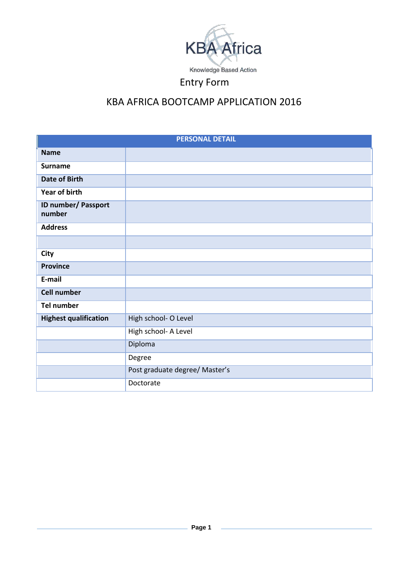

# KBA AFRICA BOOTCAMP APPLICATION 2016

| <b>PERSONAL DETAIL</b>               |                                |  |  |  |
|--------------------------------------|--------------------------------|--|--|--|
| <b>Name</b>                          |                                |  |  |  |
| <b>Surname</b>                       |                                |  |  |  |
| <b>Date of Birth</b>                 |                                |  |  |  |
| <b>Year of birth</b>                 |                                |  |  |  |
| <b>ID number/ Passport</b><br>number |                                |  |  |  |
| <b>Address</b>                       |                                |  |  |  |
|                                      |                                |  |  |  |
| <b>City</b>                          |                                |  |  |  |
| <b>Province</b>                      |                                |  |  |  |
| E-mail                               |                                |  |  |  |
| <b>Cell number</b>                   |                                |  |  |  |
| <b>Tel number</b>                    |                                |  |  |  |
| <b>Highest qualification</b>         | High school- O Level           |  |  |  |
|                                      | High school- A Level           |  |  |  |
|                                      | Diploma                        |  |  |  |
|                                      | Degree                         |  |  |  |
|                                      | Post graduate degree/ Master's |  |  |  |
|                                      | Doctorate                      |  |  |  |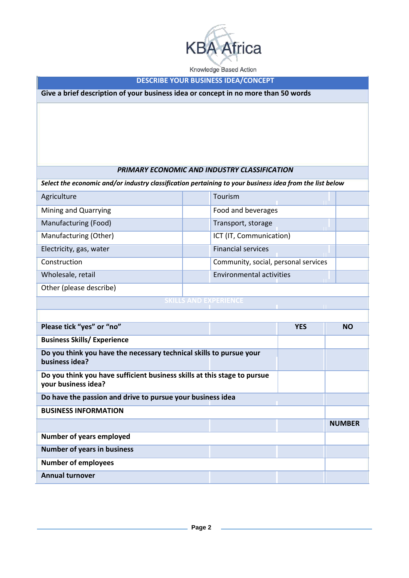

Knowledge Based Action

## **DESCRIBE YOUR BUSINESS IDEA/CONCEPT**

**Give a brief description of your business idea or concept in no more than 50 words**

## *PRIMARY ECONOMIC AND INDUSTRY CLASSIFICATION*

*Select the economic and/or industry classification pertaining to your business idea from the list below*

| Agriculture             |  | Tourism                              |  |  |  |
|-------------------------|--|--------------------------------------|--|--|--|
| Mining and Quarrying    |  | Food and beverages                   |  |  |  |
| Manufacturing (Food)    |  | Transport, storage                   |  |  |  |
| Manufacturing (Other)   |  | ICT (IT, Communication)              |  |  |  |
| Electricity, gas, water |  | <b>Financial services</b>            |  |  |  |
| Construction            |  | Community, social, personal services |  |  |  |
| Wholesale, retail       |  | <b>Environmental activities</b>      |  |  |  |
| Other (please describe) |  |                                      |  |  |  |
|                         |  |                                      |  |  |  |

| Please tick "yes" or "no"                                                                       |  | <b>YES</b> | <b>NO</b>     |  |
|-------------------------------------------------------------------------------------------------|--|------------|---------------|--|
| <b>Business Skills/Experience</b>                                                               |  |            |               |  |
| Do you think you have the necessary technical skills to pursue your<br>business idea?           |  |            |               |  |
| Do you think you have sufficient business skills at this stage to pursue<br>your business idea? |  |            |               |  |
| Do have the passion and drive to pursue your business idea                                      |  |            |               |  |
| <b>BUSINESS INFORMATION</b>                                                                     |  |            |               |  |
|                                                                                                 |  |            | <b>NUMBER</b> |  |
| Number of years employed                                                                        |  |            |               |  |
| <b>Number of years in business</b>                                                              |  |            |               |  |
| <b>Number of employees</b>                                                                      |  |            |               |  |
| <b>Annual turnover</b>                                                                          |  |            |               |  |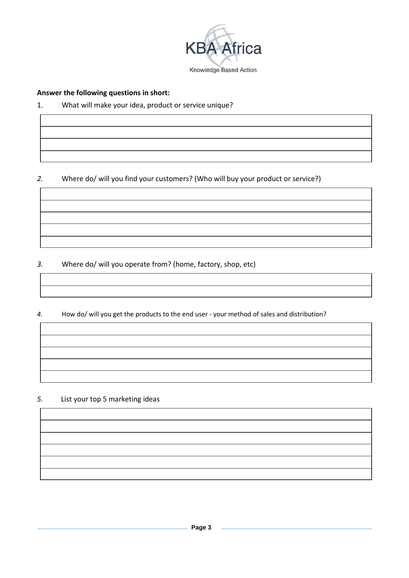

# **Answer the following questions in short:**

# 1. What will make your idea, product or service unique?

# *2.* Where do/ will you find your customers? (Who will buy your product or service?)

*3.* Where do/ will you operate from? (home, factory, shop, etc)

*4.* How do/ will you get the products to the end user - your method of sales and distribution?

## *5.* List your top 5 marketing ideas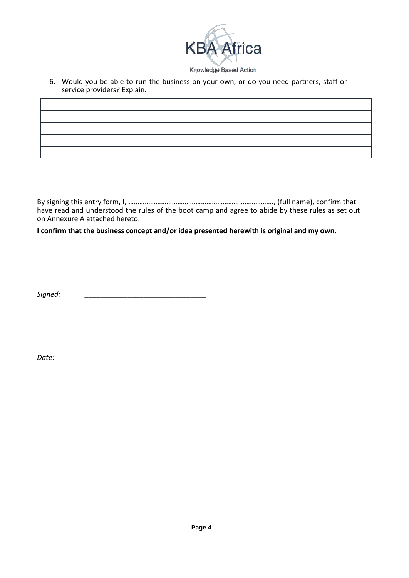

6. Would you be able to run the business on your own, or do you need partners, staff or service providers? Explain.

By signing this entry form, I, …………………………… ………………………………………., (full name), confirm that I have read and understood the rules of the boot camp and agree to abide by these rules as set out on Annexure A attached hereto.

**I confirm that the business concept and/or idea presented herewith is original and my own.**

 $Sigma:$ 

*Date: \_\_\_\_\_\_\_\_\_\_\_\_\_\_\_\_\_\_\_\_\_\_\_\_*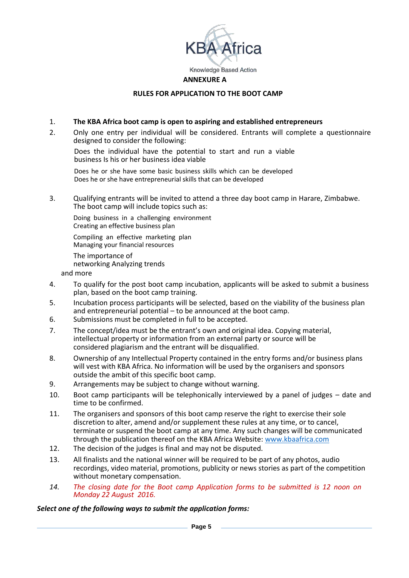

## **RULES FOR APPLICATION TO THE BOOT CAMP**

## 1. **The KBA Africa boot camp is open to aspiring and established entrepreneurs**

2. Only one entry per individual will be considered. Entrants will complete a questionnaire designed to consider the following:

Does the individual have the potential to start and run a viable business Is his or her business idea viable

Does he or she have some basic business skills which can be developed Does he or she have entrepreneurial skills that can be developed

3. Qualifying entrants will be invited to attend a three day boot camp in Harare, Zimbabwe. The boot camp will include topics such as:

Doing business in a challenging environment Creating an effective business plan

Compiling an effective marketing plan Managing your financial resources

The importance of

networking Analyzing trends

and more

- 4. To qualify for the post boot camp incubation, applicants will be asked to submit a business plan, based on the boot camp training.
- 5. Incubation process participants will be selected, based on the viability of the business plan and entrepreneurial potential – to be announced at the boot camp.
- 6. Submissions must be completed in full to be accepted.
- 7. The concept/idea must be the entrant's own and original idea. Copying material, intellectual property or information from an external party or source will be considered plagiarism and the entrant will be disqualified.
- 8. Ownership of any Intellectual Property contained in the entry forms and/or business plans will vest with KBA Africa. No information will be used by the organisers and sponsors outside the ambit of this specific boot camp.
- 9. Arrangements may be subject to change without warning.
- 10. Boot camp participants will be telephonically interviewed by a panel of judges date and time to be confirmed.
- 11. The organisers and sponsors of this boot camp reserve the right to exercise their sole discretion to alter, amend and/or supplement these rules at any time, or to cancel, terminate or suspend the boot camp at any time. Any such changes will be communicated through the publication thereof on the KBA Africa Website: [www.kbaafrica.com](http://www.kbaafrica.com/)
- 12. The decision of the judges is final and may not be disputed.
- 13. All finalists and the national winner will be required to be part of any photos, audio recordings, video material, promotions, publicity or news stories as part of the competition without monetary compensation.
- *14. The closing date for the Boot camp Application forms to be submitted is 12 noon on Monday 22 August 2016.*

## *Select one of the following ways to submit the application forms:*